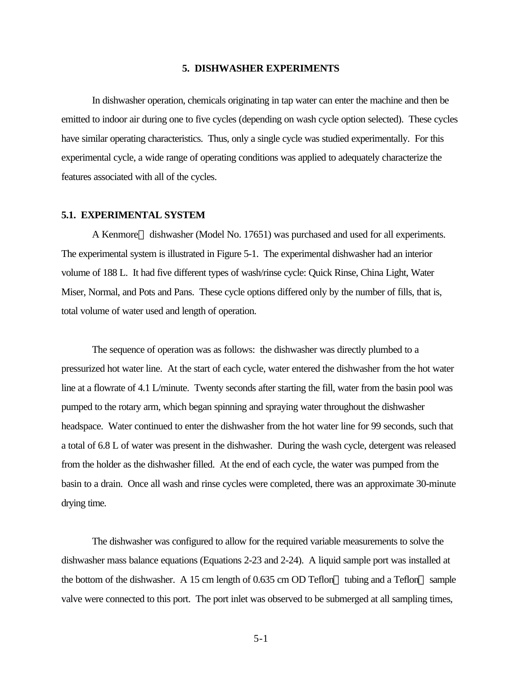### **5. DISHWASHER EXPERIMENTS**

In dishwasher operation, chemicals originating in tap water can enter the machine and then be emitted to indoor air during one to five cycles (depending on wash cycle option selected). These cycles have similar operating characteristics. Thus, only a single cycle was studied experimentally. For this experimental cycle, a wide range of operating conditions was applied to adequately characterize the features associated with all of the cycles.

## **5.1. EXPERIMENTAL SYSTEM**

A Kenmore<sup>™</sup> dishwasher (Model No. 17651) was purchased and used for all experiments. The experimental system is illustrated in Figure 5-1. The experimental dishwasher had an interior volume of 188 L. It had five different types of wash/rinse cycle: Quick Rinse, China Light, Water Miser, Normal, and Pots and Pans. These cycle options differed only by the number of fills, that is, total volume of water used and length of operation.

The sequence of operation was as follows: the dishwasher was directly plumbed to a pressurized hot water line. At the start of each cycle, water entered the dishwasher from the hot water line at a flowrate of 4.1 L/minute. Twenty seconds after starting the fill, water from the basin pool was pumped to the rotary arm, which began spinning and spraying water throughout the dishwasher headspace. Water continued to enter the dishwasher from the hot water line for 99 seconds, such that a total of 6.8 L of water was present in the dishwasher. During the wash cycle, detergent was released from the holder as the dishwasher filled. At the end of each cycle, the water was pumped from the basin to a drain. Once all wash and rinse cycles were completed, there was an approximate 30-minute drying time.

The dishwasher was configured to allow for the required variable measurements to solve the dishwasher mass balance equations (Equations 2-23 and 2-24). A liquid sample port was installed at the bottom of the dishwasher. A 15 cm length of 0.635 cm OD Teflon<sup> $TM$ </sup> tubing and a Teflon<sup> $TM$ </sup> sample valve were connected to this port. The port inlet was observed to be submerged at all sampling times,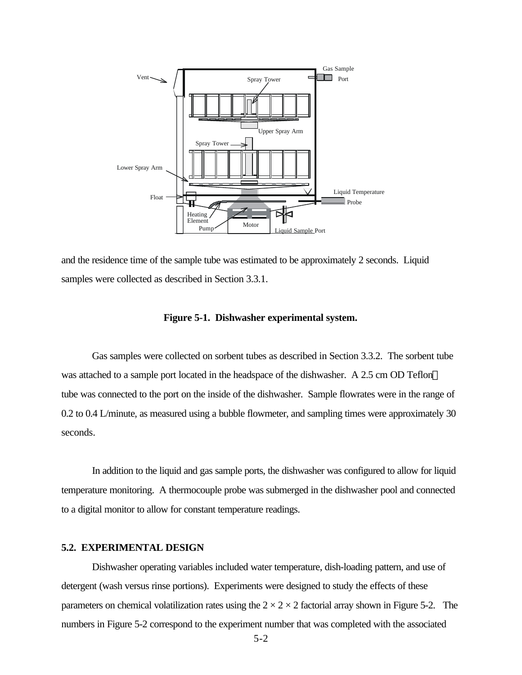

and the residence time of the sample tube was estimated to be approximately 2 seconds. Liquid samples were collected as described in Section 3.3.1.

#### **Figure 5-1. Dishwasher experimental system.**

Gas samples were collected on sorbent tubes as described in Section 3.3.2. The sorbent tube was attached to a sample port located in the headspace of the dishwasher. A 2.5 cm OD Teflon<sup>™</sup> tube was connected to the port on the inside of the dishwasher. Sample flowrates were in the range of 0.2 to 0.4 L/minute, as measured using a bubble flowmeter, and sampling times were approximately 30 seconds.

In addition to the liquid and gas sample ports, the dishwasher was configured to allow for liquid temperature monitoring. A thermocouple probe was submerged in the dishwasher pool and connected to a digital monitor to allow for constant temperature readings.

# **5.2. EXPERIMENTAL DESIGN**

Dishwasher operating variables included water temperature, dish-loading pattern, and use of detergent (wash versus rinse portions). Experiments were designed to study the effects of these parameters on chemical volatilization rates using the  $2 \times 2 \times 2$  factorial array shown in Figure 5-2. The numbers in Figure 5-2 correspond to the experiment number that was completed with the associated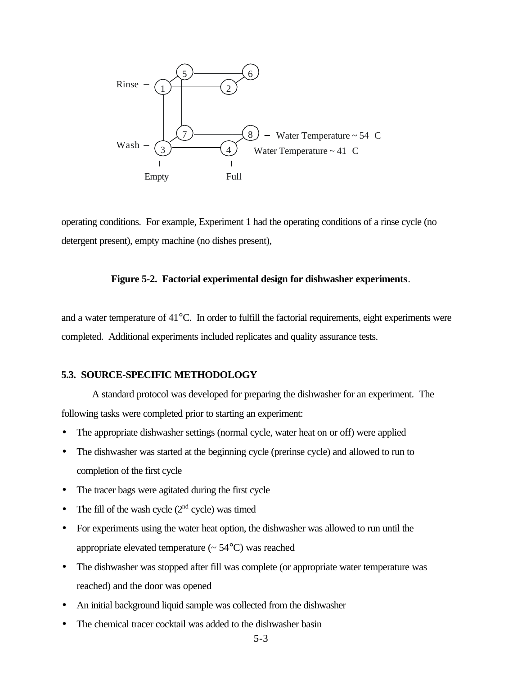

operating conditions. For example, Experiment 1 had the operating conditions of a rinse cycle (no detergent present), empty machine (no dishes present),

#### **Figure 5-2. Factorial experimental design for dishwasher experiments**.

and a water temperature of  $41^{\circ}$ C. In order to fulfill the factorial requirements, eight experiments were completed. Additional experiments included replicates and quality assurance tests.

## **5.3. SOURCE-SPECIFIC METHODOLOGY**

A standard protocol was developed for preparing the dishwasher for an experiment. The following tasks were completed prior to starting an experiment:

- The appropriate dishwasher settings (normal cycle, water heat on or off) were applied
- The dishwasher was started at the beginning cycle (prerinse cycle) and allowed to run to completion of the first cycle
- The tracer bags were agitated during the first cycle
- The fill of the wash cycle  $(2<sup>nd</sup>$  cycle) was timed
- For experiments using the water heat option, the dishwasher was allowed to run until the appropriate elevated temperature  $($   $\sim$  54 $\degree$ C $)$  was reached
- The dishwasher was stopped after fill was complete (or appropriate water temperature was reached) and the door was opened
- An initial background liquid sample was collected from the dishwasher
- The chemical tracer cocktail was added to the dishwasher basin
	- 5-3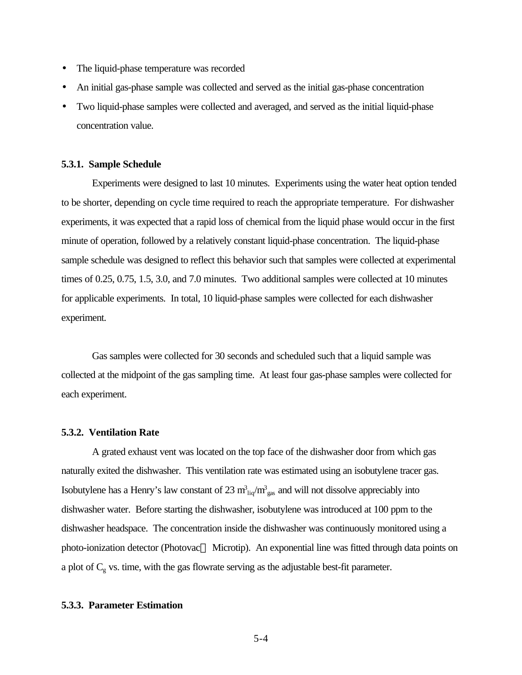- The liquid-phase temperature was recorded
- An initial gas-phase sample was collected and served as the initial gas-phase concentration
- Two liquid-phase samples were collected and averaged, and served as the initial liquid-phase concentration value.

#### **5.3.1. Sample Schedule**

Experiments were designed to last 10 minutes. Experiments using the water heat option tended to be shorter, depending on cycle time required to reach the appropriate temperature. For dishwasher experiments, it was expected that a rapid loss of chemical from the liquid phase would occur in the first minute of operation, followed by a relatively constant liquid-phase concentration. The liquid-phase sample schedule was designed to reflect this behavior such that samples were collected at experimental times of 0.25, 0.75, 1.5, 3.0, and 7.0 minutes. Two additional samples were collected at 10 minutes for applicable experiments. In total, 10 liquid-phase samples were collected for each dishwasher experiment.

Gas samples were collected for 30 seconds and scheduled such that a liquid sample was collected at the midpoint of the gas sampling time. At least four gas-phase samples were collected for each experiment.

#### **5.3.2. Ventilation Rate**

A grated exhaust vent was located on the top face of the dishwasher door from which gas naturally exited the dishwasher. This ventilation rate was estimated using an isobutylene tracer gas. Isobutylene has a Henry's law constant of 23  $m_{liq}^3/m_{gas}^3$  and will not dissolve appreciably into dishwasher water. Before starting the dishwasher, isobutylene was introduced at 100 ppm to the dishwasher headspace. The concentration inside the dishwasher was continuously monitored using a photo-ionization detector (Photovac<sup>™</sup> Microtip). An exponential line was fitted through data points on a plot of  $C_g$  vs. time, with the gas flowrate serving as the adjustable best-fit parameter.

#### **5.3.3. Parameter Estimation**

5-4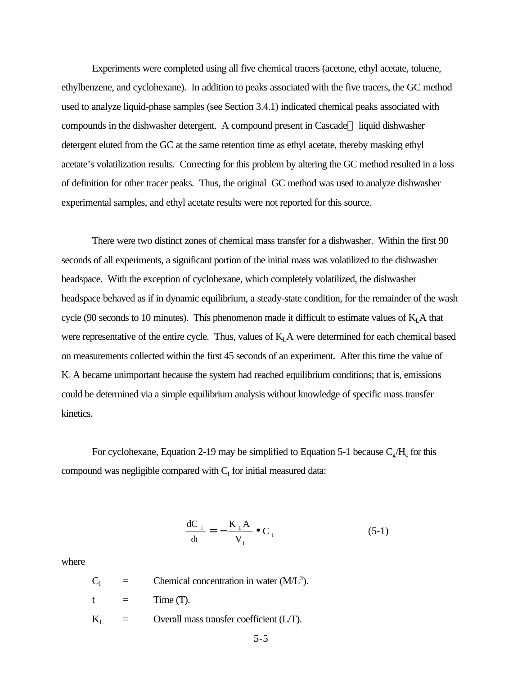Experiments were completed using all five chemical tracers (acetone, ethyl acetate, toluene, ethylbenzene, and cyclohexane). In addition to peaks associated with the five tracers, the GC method used to analyze liquid-phase samples (see Section 3.4.1) indicated chemical peaks associated with compounds in the dishwasher detergent. A compound present in Cascade<sup> $TM$ </sup> liquid dishwasher detergent eluted from the GC at the same retention time as ethyl acetate, thereby masking ethyl acetate's volatilization results. Correcting for this problem by altering the GC method resulted in a loss of definition for other tracer peaks. Thus, the original GC method was used to analyze dishwasher experimental samples, and ethyl acetate results were not reported for this source.

There were two distinct zones of chemical mass transfer for a dishwasher. Within the first 90 seconds of all experiments, a significant portion of the initial mass was volatilized to the dishwasher headspace. With the exception of cyclohexane, which completely volatilized, the dishwasher headspace behaved as if in dynamic equilibrium, a steady-state condition, for the remainder of the wash cycle (90 seconds to 10 minutes). This phenomenon made it difficult to estimate values of  $K<sub>L</sub>A$  that were representative of the entire cycle. Thus, values of  $K<sub>L</sub>A$  were determined for each chemical based on measurements collected within the first 45 seconds of an experiment. After this time the value of  $K<sub>L</sub>A$  became unimportant because the system had reached equilibrium conditions; that is, emissions could be determined via a simple equilibrium analysis without knowledge of specific mass transfer kinetics.

For cyclohexane, Equation 2-19 may be simplified to Equation 5-1 because  $C_g/H_c$  for this compound was negligible compared with  $C_1$  for initial measured data:

$$
\frac{dC_{\perp}}{dt} = -\frac{K_{\perp}A}{V_{\perp}} \bullet C_{\perp}
$$
 (5-1)

where

 $C_1$  = Chemical concentration in water (M/L<sup>3</sup>).  $t =$  Time (T).

 $K_I$  = Overall mass transfer coefficient (L/T).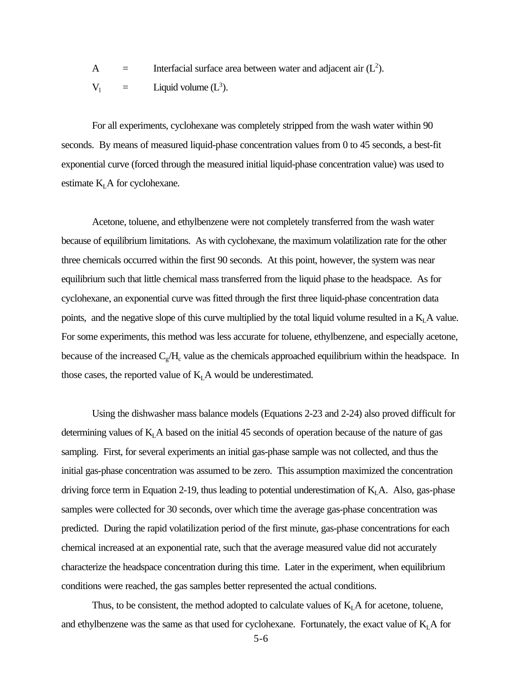A  $=$  Interfacial surface area between water and adjacent air  $(L<sup>2</sup>)$ .

 $V_1$  = Liquid volume (L<sup>3</sup>).

For all experiments, cyclohexane was completely stripped from the wash water within 90 seconds. By means of measured liquid-phase concentration values from 0 to 45 seconds, a best-fit exponential curve (forced through the measured initial liquid-phase concentration value) was used to estimate  $K<sub>L</sub>$  A for cyclohexane.

Acetone, toluene, and ethylbenzene were not completely transferred from the wash water because of equilibrium limitations. As with cyclohexane, the maximum volatilization rate for the other three chemicals occurred within the first 90 seconds. At this point, however, the system was near equilibrium such that little chemical mass transferred from the liquid phase to the headspace. As for cyclohexane, an exponential curve was fitted through the first three liquid-phase concentration data points, and the negative slope of this curve multiplied by the total liquid volume resulted in a  $K<sub>L</sub>A$  value. For some experiments, this method was less accurate for toluene, ethylbenzene, and especially acetone, because of the increased  $C_g/H_c$  value as the chemicals approached equilibrium within the headspace. In those cases, the reported value of  $K<sub>L</sub>A$  would be underestimated.

Using the dishwasher mass balance models (Equations 2-23 and 2-24) also proved difficult for determining values of  $K<sub>L</sub> A$  based on the initial 45 seconds of operation because of the nature of gas sampling. First, for several experiments an initial gas-phase sample was not collected, and thus the initial gas-phase concentration was assumed to be zero. This assumption maximized the concentration driving force term in Equation 2-19, thus leading to potential underestimation of  $K<sub>L</sub>A$ . Also, gas-phase samples were collected for 30 seconds, over which time the average gas-phase concentration was predicted. During the rapid volatilization period of the first minute, gas-phase concentrations for each chemical increased at an exponential rate, such that the average measured value did not accurately characterize the headspace concentration during this time. Later in the experiment, when equilibrium conditions were reached, the gas samples better represented the actual conditions.

Thus, to be consistent, the method adopted to calculate values of  $K<sub>L</sub>A$  for acetone, toluene, and ethylbenzene was the same as that used for cyclohexane. Fortunately, the exact value of  $K<sub>L</sub>A$  for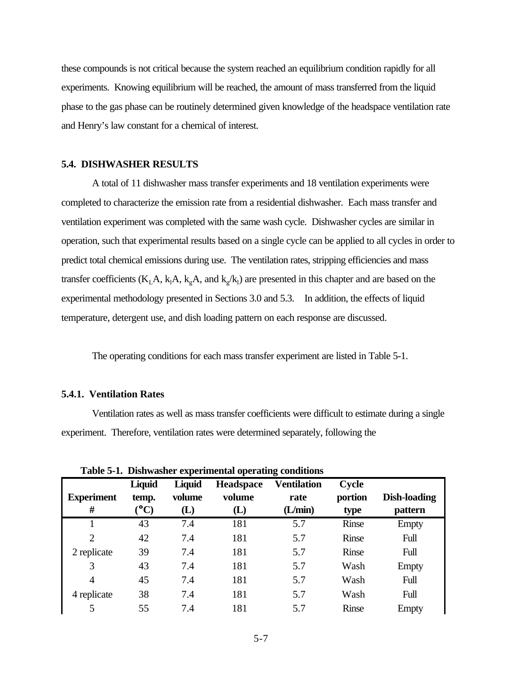these compounds is not critical because the system reached an equilibrium condition rapidly for all experiments. Knowing equilibrium will be reached, the amount of mass transferred from the liquid phase to the gas phase can be routinely determined given knowledge of the headspace ventilation rate and Henry's law constant for a chemical of interest.

## **5.4. DISHWASHER RESULTS**

A total of 11 dishwasher mass transfer experiments and 18 ventilation experiments were completed to characterize the emission rate from a residential dishwasher. Each mass transfer and ventilation experiment was completed with the same wash cycle. Dishwasher cycles are similar in operation, such that experimental results based on a single cycle can be applied to all cycles in order to predict total chemical emissions during use. The ventilation rates, stripping efficiencies and mass transfer coefficients ( $K_L A$ ,  $k_A A$ ,  $k_g A$ , and  $k_g / k_l$ ) are presented in this chapter and are based on the experimental methodology presented in Sections 3.0 and 5.3. In addition, the effects of liquid temperature, detergent use, and dish loading pattern on each response are discussed.

The operating conditions for each mass transfer experiment are listed in Table 5-1.

## **5.4.1. Ventilation Rates**

Ventilation rates as well as mass transfer coefficients were difficult to estimate during a single experiment. Therefore, ventilation rates were determined separately, following the

| <b>Experiment</b><br># | Liquid<br>temp.<br>$\rm ^{\circ}C)$ | Liquid<br>volume<br>$\bf(L)$ | Headspace<br>volume<br>(L) | <b>Ventilation</b><br>rate<br>(L/min) | <b>Cycle</b><br>portion<br>type | <b>Dish-loading</b><br>pattern |
|------------------------|-------------------------------------|------------------------------|----------------------------|---------------------------------------|---------------------------------|--------------------------------|
|                        | 43                                  | 7.4                          | 181                        | 5.7                                   | Rinse                           | Empty                          |
| $\overline{2}$         | 42                                  | 7.4                          | 181                        | 5.7                                   | <b>Rinse</b>                    | Full                           |
| 2 replicate            | 39                                  | 7.4                          | 181                        | 5.7                                   | Rinse                           | Full                           |
| 3                      | 43                                  | 7.4                          | 181                        | 5.7                                   | Wash                            | <b>Empty</b>                   |
| 4                      | 45                                  | 7.4                          | 181                        | 5.7                                   | Wash                            | Full                           |
| 4 replicate            | 38                                  | 7.4                          | 181                        | 5.7                                   | Wash                            | Full                           |
| 5                      | 55                                  | 7.4                          | 181                        | 5.7                                   | Rinse                           | <b>Empty</b>                   |

**Table 5-1. Dishwasher experimental operating conditions**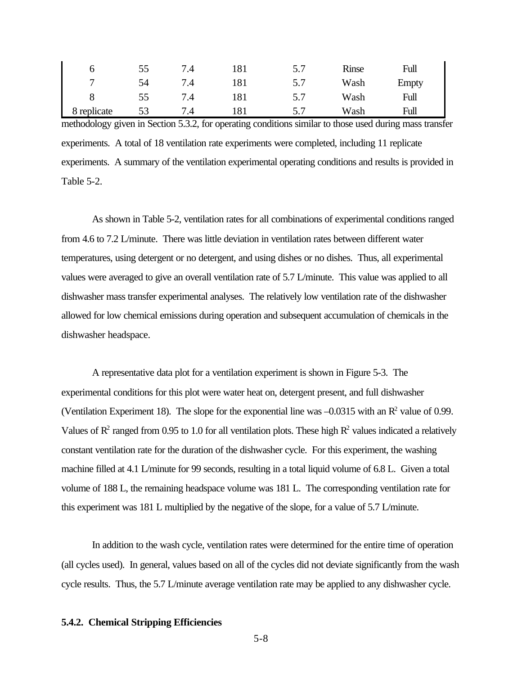|                | 55 | $\cdot^4$ | 181 | ، ب | Rinse | Full  |
|----------------|----|-----------|-----|-----|-------|-------|
| $\overline{ }$ | 54 | .4        | 181 | ، ب | Wash  | Empty |
|                | 55 | $\cdot$ T | 181 | ، ب | Wash  | Full  |
| replicate<br>Ō | 53 | ۰.        | 181 | ີ   | Wash  | Full  |

methodology given in Section 5.3.2, for operating conditions similar to those used during mass transfer experiments. A total of 18 ventilation rate experiments were completed, including 11 replicate experiments. A summary of the ventilation experimental operating conditions and results is provided in Table 5-2.

As shown in Table 5-2, ventilation rates for all combinations of experimental conditions ranged from 4.6 to 7.2 L/minute. There was little deviation in ventilation rates between different water temperatures, using detergent or no detergent, and using dishes or no dishes. Thus, all experimental values were averaged to give an overall ventilation rate of 5.7 L/minute. This value was applied to all dishwasher mass transfer experimental analyses. The relatively low ventilation rate of the dishwasher allowed for low chemical emissions during operation and subsequent accumulation of chemicals in the dishwasher headspace.

A representative data plot for a ventilation experiment is shown in Figure 5-3. The experimental conditions for this plot were water heat on, detergent present, and full dishwasher (Ventilation Experiment 18). The slope for the exponential line was  $-0.0315$  with an  $\mathbb{R}^2$  value of 0.99. Values of  $\mathbb{R}^2$  ranged from 0.95 to 1.0 for all ventilation plots. These high  $\mathbb{R}^2$  values indicated a relatively constant ventilation rate for the duration of the dishwasher cycle. For this experiment, the washing machine filled at 4.1 L/minute for 99 seconds, resulting in a total liquid volume of 6.8 L. Given a total volume of 188 L, the remaining headspace volume was 181 L. The corresponding ventilation rate for this experiment was 181 L multiplied by the negative of the slope, for a value of 5.7 L/minute.

In addition to the wash cycle, ventilation rates were determined for the entire time of operation (all cycles used). In general, values based on all of the cycles did not deviate significantly from the wash cycle results. Thus, the 5.7 L/minute average ventilation rate may be applied to any dishwasher cycle.

## **5.4.2. Chemical Stripping Efficiencies**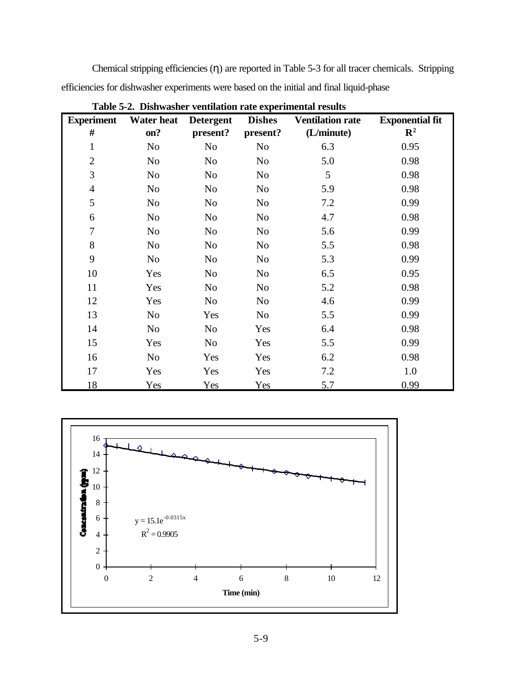Chemical stripping efficiencies (η) are reported in Table 5-3 for all tracer chemicals. Stripping efficiencies for dishwasher experiments were based on the initial and final liquid-phase

| <b>Experiment</b> | <b>Water heat</b> | <b>Detergent</b> | <b>Dishes</b>  | <b>Ventilation rate</b> | <b>Exponential fit</b> |
|-------------------|-------------------|------------------|----------------|-------------------------|------------------------|
| #                 | on?               | present?         | present?       | (L/minute)              | $\mathbb{R}^2$         |
| $\mathbf 1$       | N <sub>0</sub>    | N <sub>o</sub>   | N <sub>0</sub> | 6.3                     | 0.95                   |
| $\mathbf{2}$      | N <sub>0</sub>    | N <sub>0</sub>   | N <sub>0</sub> | 5.0                     | 0.98                   |
| 3                 | No                | N <sub>0</sub>   | N <sub>0</sub> | 5                       | 0.98                   |
| $\overline{4}$    | N <sub>o</sub>    | N <sub>0</sub>   | N <sub>0</sub> | 5.9                     | 0.98                   |
| $\mathfrak{S}$    | N <sub>0</sub>    | N <sub>0</sub>   | N <sub>0</sub> | 7.2                     | 0.99                   |
| 6                 | N <sub>0</sub>    | N <sub>0</sub>   | N <sub>0</sub> | 4.7                     | 0.98                   |
| $\tau$            | N <sub>0</sub>    | N <sub>0</sub>   | N <sub>0</sub> | 5.6                     | 0.99                   |
| 8                 | N <sub>o</sub>    | N <sub>o</sub>   | N <sub>0</sub> | 5.5                     | 0.98                   |
| 9                 | N <sub>0</sub>    | N <sub>0</sub>   | N <sub>0</sub> | 5.3                     | 0.99                   |
| 10                | Yes               | N <sub>0</sub>   | N <sub>0</sub> | 6.5                     | 0.95                   |
| 11                | Yes               | N <sub>o</sub>   | N <sub>o</sub> | 5.2                     | 0.98                   |
| 12                | Yes               | N <sub>0</sub>   | N <sub>0</sub> | 4.6                     | 0.99                   |
| 13                | N <sub>o</sub>    | Yes              | N <sub>0</sub> | 5.5                     | 0.99                   |
| 14                | N <sub>0</sub>    | N <sub>0</sub>   | Yes            | 6.4                     | 0.98                   |
| 15                | Yes               | N <sub>0</sub>   | Yes            | 5.5                     | 0.99                   |
| 16                | N <sub>o</sub>    | Yes              | Yes            | 6.2                     | 0.98                   |
| 17                | Yes               | Yes              | Yes            | 7.2                     | 1.0                    |
| 18                | Yes               | Yes              | Yes            | 5.7                     | 0.99                   |

**Table 5-2. Dishwasher ventilation rate experimental results**

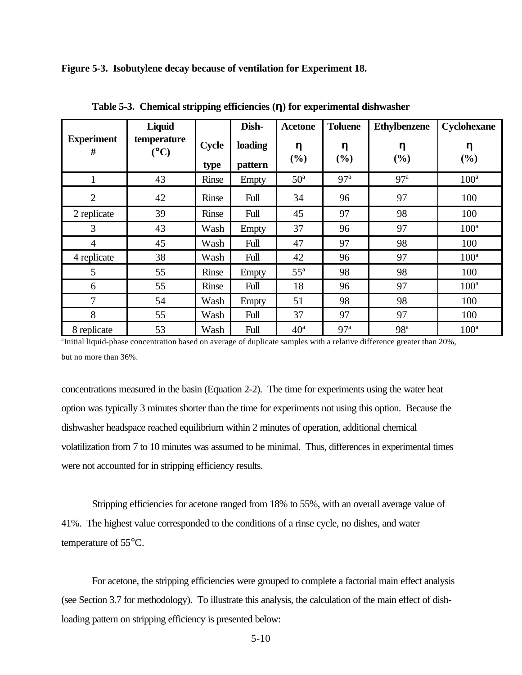**Figure 5-3. Isobutylene decay because of ventilation for Experiment 18.**

|                        | Liquid             |               | Dish-              | <b>Acetone</b>  | <b>Toluene</b>  | <b>Ethylbenzene</b> | Cyclohexane      |
|------------------------|--------------------|---------------|--------------------|-----------------|-----------------|---------------------|------------------|
| <b>Experiment</b><br># | temperature<br>(C) | Cycle<br>type | loading<br>pattern | h<br>(%)        | h<br>(%)        | h<br>(%)            | h<br>$(\%)$      |
|                        | 43                 | Rinse         | Empty              | 50 <sup>a</sup> | 97 <sup>a</sup> | 97 <sup>a</sup>     | $100^a$          |
| $\overline{2}$         | 42                 | Rinse         | Full               | 34              | 96              | 97                  | 100              |
| 2 replicate            | 39                 | Rinse         | Full               | 45              | 97              | 98                  | 100              |
| 3                      | 43                 | Wash          | Empty              | 37              | 96              | 97                  | $100^a$          |
| $\overline{4}$         | 45                 | Wash          | Full               | 47              | 97              | 98                  | 100              |
| 4 replicate            | 38                 | Wash          | Full               | 42              | 96              | 97                  | 100 <sup>a</sup> |
| 5                      | 55                 | Rinse         | Empty              | $55^{\rm a}$    | 98              | 98                  | 100              |
| 6                      | 55                 | Rinse         | Full               | 18              | 96              | 97                  | 100 <sup>a</sup> |
| 7                      | 54                 | Wash          | Empty              | 51              | 98              | 98                  | 100              |
| 8                      | 55                 | Wash          | Full               | 37              | 97              | 97                  | 100              |
| 8 replicate            | 53                 | Wash          | Full               | 40 <sup>a</sup> | 97 <sup>a</sup> | 98 <sup>a</sup>     | 100 <sup>a</sup> |

**Table 5-3. Chemical stripping efficiencies (h) for experimental dishwasher**

a Initial liquid-phase concentration based on average of duplicate samples with a relative difference greater than 20%, but no more than 36%.

concentrations measured in the basin (Equation 2-2). The time for experiments using the water heat option was typically 3 minutes shorter than the time for experiments not using this option. Because the dishwasher headspace reached equilibrium within 2 minutes of operation, additional chemical volatilization from 7 to 10 minutes was assumed to be minimal. Thus, differences in experimental times were not accounted for in stripping efficiency results.

Stripping efficiencies for acetone ranged from 18% to 55%, with an overall average value of 41%. The highest value corresponded to the conditions of a rinse cycle, no dishes, and water temperature of 55°C.

For acetone, the stripping efficiencies were grouped to complete a factorial main effect analysis (see Section 3.7 for methodology). To illustrate this analysis, the calculation of the main effect of dishloading pattern on stripping efficiency is presented below: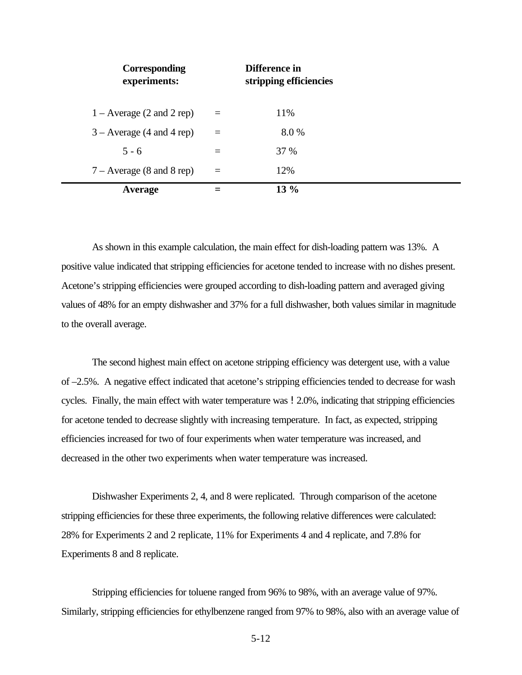| Corresponding<br>experiments: |     | Difference in<br>stripping efficiencies |  |
|-------------------------------|-----|-----------------------------------------|--|
| $1 -$ Average (2 and 2 rep)   | $=$ | 11%                                     |  |
| $3 -$ Average (4 and 4 rep)   | $=$ | 8.0%                                    |  |
| $5 - 6$                       | $=$ | <b>37 %</b>                             |  |
| $7 - Average (8 and 8 rep)$   | $=$ | 12%                                     |  |
| Average                       |     | $13\%$                                  |  |

As shown in this example calculation, the main effect for dish-loading pattern was 13%. A positive value indicated that stripping efficiencies for acetone tended to increase with no dishes present. Acetone's stripping efficiencies were grouped according to dish-loading pattern and averaged giving values of 48% for an empty dishwasher and 37% for a full dishwasher, both values similar in magnitude to the overall average.

The second highest main effect on acetone stripping efficiency was detergent use, with a value of –2.5%. A negative effect indicated that acetone's stripping efficiencies tended to decrease for wash cycles. Finally, the main effect with water temperature was  $\frac{1}{2.0\%}$ , indicating that stripping efficiencies for acetone tended to decrease slightly with increasing temperature. In fact, as expected, stripping efficiencies increased for two of four experiments when water temperature was increased, and decreased in the other two experiments when water temperature was increased.

Dishwasher Experiments 2, 4, and 8 were replicated. Through comparison of the acetone stripping efficiencies for these three experiments, the following relative differences were calculated: 28% for Experiments 2 and 2 replicate, 11% for Experiments 4 and 4 replicate, and 7.8% for Experiments 8 and 8 replicate.

Stripping efficiencies for toluene ranged from 96% to 98%, with an average value of 97%. Similarly, stripping efficiencies for ethylbenzene ranged from 97% to 98%, also with an average value of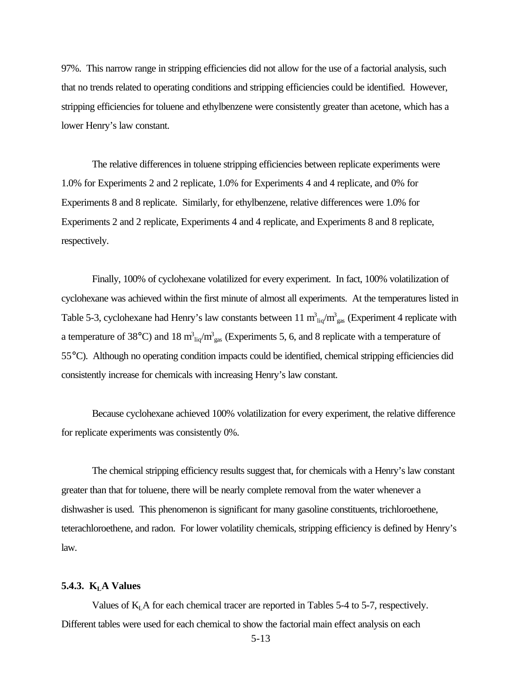97%. This narrow range in stripping efficiencies did not allow for the use of a factorial analysis, such that no trends related to operating conditions and stripping efficiencies could be identified. However, stripping efficiencies for toluene and ethylbenzene were consistently greater than acetone, which has a lower Henry's law constant.

The relative differences in toluene stripping efficiencies between replicate experiments were 1.0% for Experiments 2 and 2 replicate, 1.0% for Experiments 4 and 4 replicate, and 0% for Experiments 8 and 8 replicate. Similarly, for ethylbenzene, relative differences were 1.0% for Experiments 2 and 2 replicate, Experiments 4 and 4 replicate, and Experiments 8 and 8 replicate, respectively.

Finally, 100% of cyclohexane volatilized for every experiment. In fact, 100% volatilization of cyclohexane was achieved within the first minute of almost all experiments. At the temperatures listed in Table 5-3, cyclohexane had Henry's law constants between 11  $m_{liq}^3/m_{gas}^3$  (Experiment 4 replicate with a temperature of 38°C) and 18  $m_{liq}^3/m_{gas}^3$  (Experiments 5, 6, and 8 replicate with a temperature of 55°C). Although no operating condition impacts could be identified, chemical stripping efficiencies did consistently increase for chemicals with increasing Henry's law constant.

Because cyclohexane achieved 100% volatilization for every experiment, the relative difference for replicate experiments was consistently 0%.

The chemical stripping efficiency results suggest that, for chemicals with a Henry's law constant greater than that for toluene, there will be nearly complete removal from the water whenever a dishwasher is used. This phenomenon is significant for many gasoline constituents, trichloroethene, teterachloroethene, and radon. For lower volatility chemicals, stripping efficiency is defined by Henry's law.

## **5.4.3. KLA Values**

Values of  $K<sub>L</sub>$  A for each chemical tracer are reported in Tables 5-4 to 5-7, respectively. Different tables were used for each chemical to show the factorial main effect analysis on each

5-13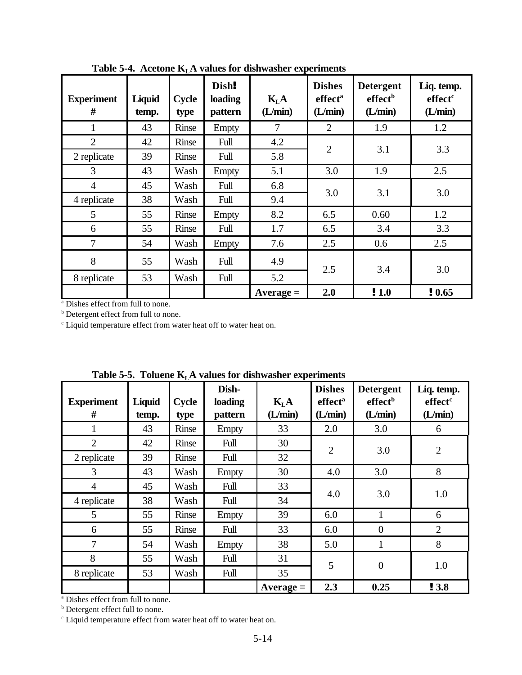| <b>Experiment</b><br># | Liquid<br>temp. | <b>Cycle</b><br>type | Dish!<br>loading<br>pattern | K <sub>L</sub> A<br>(L/min) | <b>Dishes</b><br>effect <sup>a</sup><br>(L/min) | <b>Detergent</b><br>effect <sup>b</sup><br>(L/min) | Liq. temp.<br>effect <sup>c</sup><br>(L/min) |
|------------------------|-----------------|----------------------|-----------------------------|-----------------------------|-------------------------------------------------|----------------------------------------------------|----------------------------------------------|
| 1                      | 43              | Rinse                | Empty                       | 7                           | 2                                               | 1.9                                                | 1.2                                          |
| $\overline{2}$         | 42              | Rinse                | Full                        | 4.2                         | $\overline{2}$                                  |                                                    |                                              |
| 2 replicate            | 39              | Rinse                | Full                        | 5.8                         |                                                 | 3.1                                                | 3.3                                          |
| 3                      | 43              | Wash                 | Empty                       | 5.1                         | 3.0                                             | 1.9                                                | 2.5                                          |
| $\overline{4}$         | 45              | Wash                 | Full                        | 6.8                         | 3.0                                             |                                                    |                                              |
| 4 replicate            | 38              | Wash                 | Full                        | 9.4                         |                                                 | 3.1                                                | 3.0                                          |
| 5                      | 55              | Rinse                | Empty                       | 8.2                         | 6.5                                             | 0.60                                               | 1.2                                          |
| 6                      | 55              | Rinse                | Full                        | 1.7                         | 6.5                                             | 3.4                                                | 3.3                                          |
| 7                      | 54              | Wash                 | Empty                       | 7.6                         | 2.5                                             | 0.6                                                | 2.5                                          |
| 8                      | 55              | Wash                 | Full                        | 4.9                         | 2.5                                             | 3.4                                                | 3.0                                          |
| 8 replicate            | 53              | Wash                 | Full                        | 5.2                         |                                                 |                                                    |                                              |
|                        |                 |                      |                             | $Average =$                 | 2.0                                             | $\bm{1.0}$                                         | !0.65                                        |

**Table 5-4. Acetone KLA values for dishwasher experiments**

a Dishes effect from full to none.

**b** Detergent effect from full to none.

<sup>c</sup> Liquid temperature effect from water heat off to water heat on.

| <b>Experiment</b><br># | Liquid<br>temp. | Cycle<br>type | Dish-<br>loading<br>pattern | $K_LA$<br>(L/min) | <b>Dishes</b><br>effect <sup>a</sup><br>(L/min) | <b>Detergent</b><br>effect <sup>b</sup><br>(L/min) | Liq. temp.<br>effect <sup>c</sup><br>(L/min) |
|------------------------|-----------------|---------------|-----------------------------|-------------------|-------------------------------------------------|----------------------------------------------------|----------------------------------------------|
| 1                      | 43              | Rinse         | Empty                       | 33                | 2.0                                             | 3.0                                                | 6                                            |
| $\overline{2}$         | 42              | Rinse         | Full                        | 30                |                                                 |                                                    |                                              |
| 2 replicate            | 39              | Rinse         | Full                        | 32                | $\overline{2}$                                  | 3.0                                                | $\overline{2}$                               |
| 3                      | 43              | Wash          | <b>Empty</b>                | 30                | 4.0                                             | 3.0                                                | 8                                            |
| $\overline{4}$         | 45              | Wash          | Full                        | 33                |                                                 |                                                    |                                              |
| 4 replicate            | 38              | Wash          | Full                        | 34                | 4.0                                             | 3.0                                                | 1.0                                          |
| 5                      | 55              | Rinse         | Empty                       | 39                | 6.0                                             | 1                                                  | 6                                            |
| 6                      | 55              | Rinse         | Full                        | 33                | 6.0                                             | $\theta$                                           | 2                                            |
| $\overline{7}$         | 54              | Wash          | Empty                       | 38                | 5.0                                             | $\mathbf{1}$                                       | 8                                            |
| 8                      | 55              | Wash          | Full                        | 31                | 5                                               | $\overline{0}$                                     | 1.0                                          |
| 8 replicate            | 53              | Wash          | Full                        | 35                |                                                 |                                                    |                                              |
|                        |                 |               |                             | $Average =$       | 2.3                                             | 0.25                                               | ! 3.8                                        |

**Table 5-5. Toluene KLA values for dishwasher experiments**

a Dishes effect from full to none.

**b** Detergent effect full to none.

<sup>c</sup> Liquid temperature effect from water heat off to water heat on.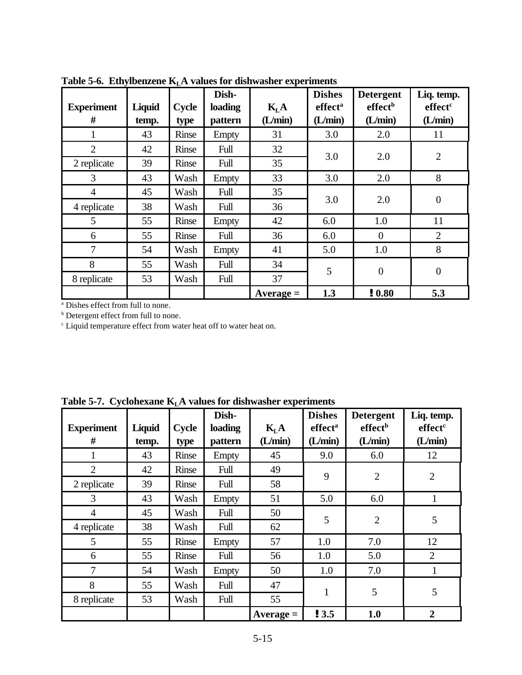| <b>Experiment</b><br># | Liquid<br>temp. | Cycle<br>type | Dish-<br>loading<br>pattern | K <sub>L</sub> A<br>(L/min) | <b>Dishes</b><br>effect <sup>a</sup><br>(L/min) | <b>Detergent</b><br>effect <sup>b</sup><br>(L/min) | Liq. temp.<br>effect <sup>c</sup><br>(L/min) |
|------------------------|-----------------|---------------|-----------------------------|-----------------------------|-------------------------------------------------|----------------------------------------------------|----------------------------------------------|
| 1                      | 43              | Rinse         | Empty                       | 31                          | 3.0                                             | 2.0                                                | 11                                           |
| 2                      | 42              | Rinse         | Full                        | 32                          |                                                 |                                                    |                                              |
| 2 replicate            | 39              | Rinse         | Full                        | 35                          | 3.0                                             | 2.0                                                | $\overline{2}$                               |
| 3                      | 43              | Wash          | Empty                       | 33                          | 3.0                                             | 2.0                                                | 8                                            |
| $\overline{4}$         | 45              | Wash          | Full                        | 35                          |                                                 |                                                    |                                              |
| 4 replicate            | 38              | Wash          | Full                        | 36                          | 3.0                                             | 2.0                                                | $\boldsymbol{0}$                             |
| 5                      | 55              | Rinse         | <b>Empty</b>                | 42                          | 6.0                                             | 1.0                                                | 11                                           |
| 6                      | 55              | Rinse         | Full                        | 36                          | 6.0                                             | $\overline{0}$                                     | $\overline{2}$                               |
| 7                      | 54              | Wash          | Empty                       | 41                          | 5.0                                             | 1.0                                                | 8                                            |
| 8                      | 55              | Wash          | Full                        | 34                          | 5                                               | $\overline{0}$                                     | $\overline{0}$                               |
| 8 replicate            | 53              | Wash          | Full                        | 37                          |                                                 |                                                    |                                              |
|                        |                 |               |                             | $Average =$                 | 1.3                                             | ! 0.80                                             | 5.3                                          |

**Table 5-6. Ethylbenzene KLA values for dishwasher experiments**

a Dishes effect from full to none.

**b** Detergent effect from full to none.

<sup>c</sup> Liquid temperature effect from water heat off to water heat on.

| <b>Experiment</b><br># | Liquid<br>temp. | <b>Cycle</b><br>type | Dish-<br>loading<br>pattern | K <sub>L</sub> A<br>(L/min) | <b>Dishes</b><br>effect <sup>a</sup><br>(L/min) | <b>Detergent</b><br>effect <sup>b</sup><br>(L/min) | Liq. temp.<br>effect <sup>c</sup><br>(L/min) |
|------------------------|-----------------|----------------------|-----------------------------|-----------------------------|-------------------------------------------------|----------------------------------------------------|----------------------------------------------|
|                        | 43              | Rinse                | Empty                       | 45                          | 9.0                                             | 6.0                                                | 12                                           |
| 2                      | 42              | Rinse                | Full                        | 49                          | 9                                               |                                                    |                                              |
| 2 replicate            | 39              | Rinse                | Full                        | 58                          |                                                 | $\overline{2}$                                     | $\overline{2}$                               |
| 3                      | 43              | Wash                 | Empty                       | 51                          | 5.0                                             | 6.0                                                | 1                                            |
| $\overline{4}$         | 45              | Wash                 | Full                        | 50                          |                                                 |                                                    |                                              |
| 4 replicate            | 38              | Wash                 | Full                        | 62                          | 5                                               | $\overline{2}$                                     | 5                                            |
| 5                      | 55              | Rinse                | Empty                       | 57                          | 1.0                                             | 7.0                                                | 12                                           |
| 6                      | 55              | Rinse                | Full                        | 56                          | 1.0                                             | 5.0                                                | $\overline{2}$                               |
| 7                      | 54              | Wash                 | Empty                       | 50                          | 1.0                                             | 7.0                                                | $\mathbf{1}$                                 |
| 8                      | 55              | Wash                 | Full                        | 47                          |                                                 |                                                    |                                              |
| 8 replicate            | 53              | Wash                 | Full                        | 55                          | $\mathbf{1}$                                    | 5                                                  | 5                                            |
|                        |                 |                      |                             | $Average =$                 | ! 3.5                                           | 1.0                                                | $\overline{2}$                               |

**Table 5-7. Cyclohexane KLA values for dishwasher experiments**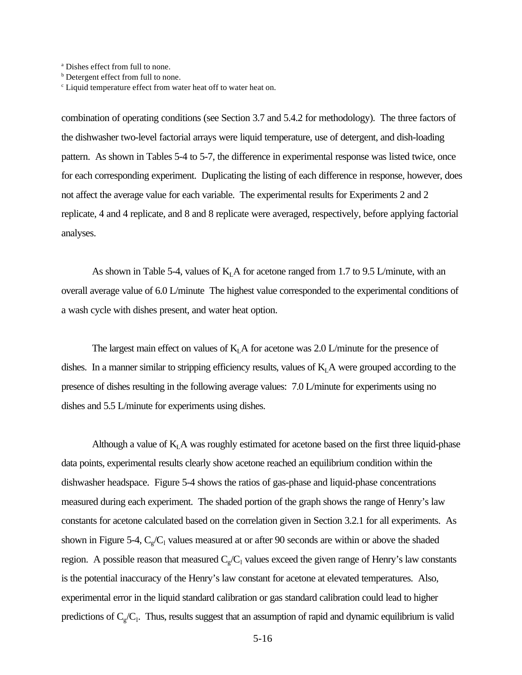a Dishes effect from full to none.

combination of operating conditions (see Section 3.7 and 5.4.2 for methodology). The three factors of the dishwasher two-level factorial arrays were liquid temperature, use of detergent, and dish-loading pattern. As shown in Tables 5-4 to 5-7, the difference in experimental response was listed twice, once for each corresponding experiment. Duplicating the listing of each difference in response, however, does not affect the average value for each variable. The experimental results for Experiments 2 and 2 replicate, 4 and 4 replicate, and 8 and 8 replicate were averaged, respectively, before applying factorial analyses.

As shown in Table 5-4, values of  $K<sub>L</sub>A$  for acetone ranged from 1.7 to 9.5 L/minute, with an overall average value of 6.0 L/minute The highest value corresponded to the experimental conditions of a wash cycle with dishes present, and water heat option.

The largest main effect on values of  $K<sub>L</sub>A$  for acetone was 2.0 L/minute for the presence of dishes. In a manner similar to stripping efficiency results, values of  $K<sub>L</sub>A$  were grouped according to the presence of dishes resulting in the following average values: 7.0 L/minute for experiments using no dishes and 5.5 L/minute for experiments using dishes.

Although a value of  $K<sub>L</sub>A$  was roughly estimated for acetone based on the first three liquid-phase data points, experimental results clearly show acetone reached an equilibrium condition within the dishwasher headspace. Figure 5-4 shows the ratios of gas-phase and liquid-phase concentrations measured during each experiment. The shaded portion of the graph shows the range of Henry's law constants for acetone calculated based on the correlation given in Section 3.2.1 for all experiments. As shown in Figure 5-4,  $C_g/C_1$  values measured at or after 90 seconds are within or above the shaded region. A possible reason that measured  $C_g/C_1$  values exceed the given range of Henry's law constants is the potential inaccuracy of the Henry's law constant for acetone at elevated temperatures. Also, experimental error in the liquid standard calibration or gas standard calibration could lead to higher predictions of  $C_g/C_l$ . Thus, results suggest that an assumption of rapid and dynamic equilibrium is valid

**b** Detergent effect from full to none.

<sup>&</sup>lt;sup>c</sup> Liquid temperature effect from water heat off to water heat on.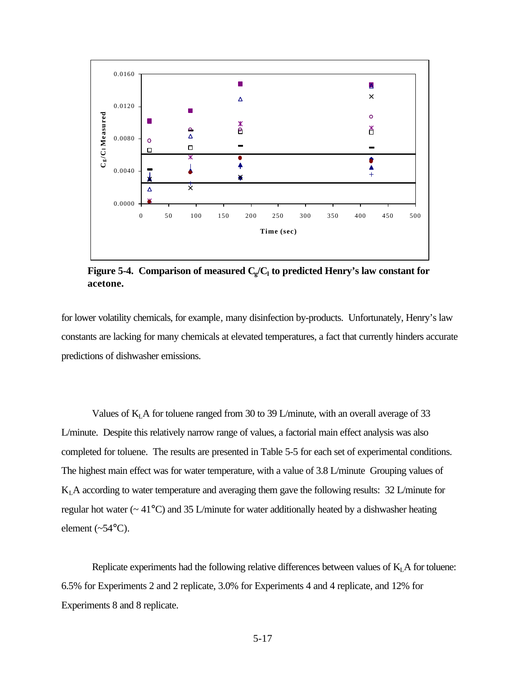

**Figure 5-4. Comparison of measured C<sup>g</sup> /C<sup>l</sup> to predicted Henry's law constant for acetone.**

for lower volatility chemicals, for example*,* many disinfection by-products. Unfortunately, Henry's law constants are lacking for many chemicals at elevated temperatures, a fact that currently hinders accurate predictions of dishwasher emissions.

Values of  $K<sub>L</sub>A$  for toluene ranged from 30 to 39 L/minute, with an overall average of 33 L/minute. Despite this relatively narrow range of values, a factorial main effect analysis was also completed for toluene. The results are presented in Table 5-5 for each set of experimental conditions. The highest main effect was for water temperature, with a value of 3.8 L/minute Grouping values of  $K<sub>L</sub>A$  according to water temperature and averaging them gave the following results: 32 L/minute for regular hot water (~ 41°C) and 35 L/minute for water additionally heated by a dishwasher heating element  $(\sim 54^{\circ}C)$ .

Replicate experiments had the following relative differences between values of  $K<sub>L</sub>A$  for toluene: 6.5% for Experiments 2 and 2 replicate, 3.0% for Experiments 4 and 4 replicate, and 12% for Experiments 8 and 8 replicate.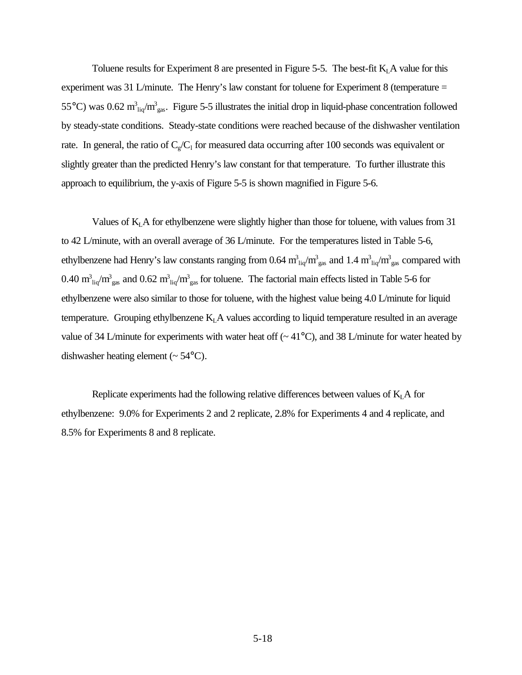Toluene results for Experiment 8 are presented in Figure 5-5. The best-fit  $K<sub>L</sub>A$  value for this experiment was 31 L/minute. The Henry's law constant for toluene for Experiment 8 (temperature = 55°C) was 0.62  $m_{liq}^3/m_{gas}^3$ . Figure 5-5 illustrates the initial drop in liquid-phase concentration followed by steady-state conditions. Steady-state conditions were reached because of the dishwasher ventilation rate. In general, the ratio of  $C_g/C_1$  for measured data occurring after 100 seconds was equivalent or slightly greater than the predicted Henry's law constant for that temperature. To further illustrate this approach to equilibrium, the y-axis of Figure 5-5 is shown magnified in Figure 5-6.

Values of K<sub>L</sub>A for ethylbenzene were slightly higher than those for toluene, with values from 31 to 42 L/minute, with an overall average of 36 L/minute. For the temperatures listed in Table 5-6, ethylbenzene had Henry's law constants ranging from 0.64  $m_{liq}^3/m_{gas}^3$  and 1.4  $m_{liq}^3/m_{gas}^3$  compared with 0.40  $m_{liq}^3/m_{gas}^3$  and 0.62  $m_{liq}^3/m_{gas}^3$  for toluene. The factorial main effects listed in Table 5-6 for ethylbenzene were also similar to those for toluene, with the highest value being 4.0 L/minute for liquid temperature. Grouping ethylbenzene  $K<sub>L</sub>A$  values according to liquid temperature resulted in an average value of 34 L/minute for experiments with water heat off  $\sim$  41°C), and 38 L/minute for water heated by dishwasher heating element  $({\sim} 54^{\circ}C)$ .

Replicate experiments had the following relative differences between values of  $K<sub>L</sub>A$  for ethylbenzene: 9.0% for Experiments 2 and 2 replicate, 2.8% for Experiments 4 and 4 replicate, and 8.5% for Experiments 8 and 8 replicate.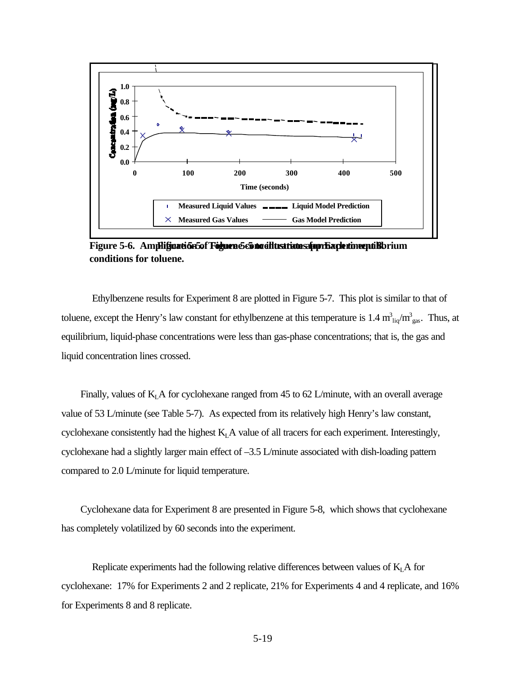

Figure 5-6. Ampli**ficatión5of Foguen 5-65 no allustrate spor Facle timent B**brium **conditions for toluene.**

Ethylbenzene results for Experiment 8 are plotted in Figure 5-7. This plot is similar to that of toluene, except the Henry's law constant for ethylbenzene at this temperature is  $1.4 \text{ m}^3$ <sub>liq</sub>/m<sup>3</sup><sub>gas</sub>. Thus, at equilibrium, liquid-phase concentrations were less than gas-phase concentrations; that is, the gas and liquid concentration lines crossed.

Finally, values of  $K<sub>L</sub>A$  for cyclohexane ranged from 45 to 62 L/minute, with an overall average value of 53 L/minute (see Table 5-7). As expected from its relatively high Henry's law constant, cyclohexane consistently had the highest  $K<sub>L</sub>A$  value of all tracers for each experiment. Interestingly, cyclohexane had a slightly larger main effect of –3.5 L/minute associated with dish-loading pattern compared to 2.0 L/minute for liquid temperature.

Cyclohexane data for Experiment 8 are presented in Figure 5-8, which shows that cyclohexane has completely volatilized by 60 seconds into the experiment.

Replicate experiments had the following relative differences between values of  $K<sub>L</sub> A$  for cyclohexane: 17% for Experiments 2 and 2 replicate, 21% for Experiments 4 and 4 replicate, and 16% for Experiments 8 and 8 replicate.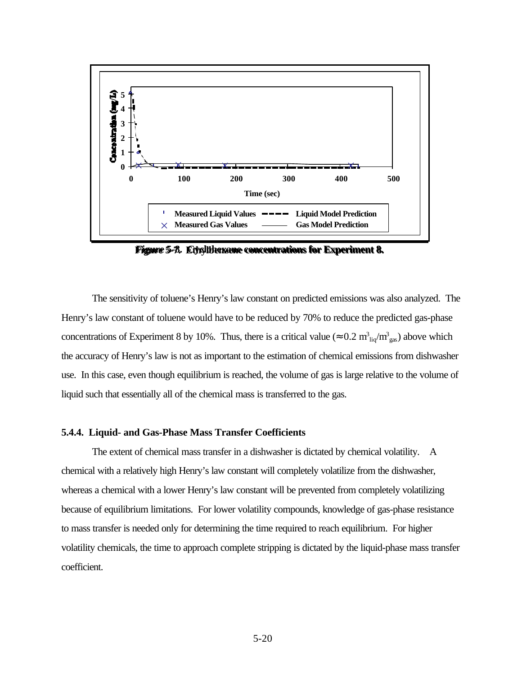

**Figure 5-7. Ethylbenzene concentrations for Experiment 8. Figure 5-8. Cyclohexane concentrations for Experiment 8.**

The sensitivity of toluene's Henry's law constant on predicted emissions was also analyzed. The Henry's law constant of toluene would have to be reduced by 70% to reduce the predicted gas-phase concentrations of Experiment 8 by 10%. Thus, there is a critical value ( $\approx 0.2 \text{ m}^3_{\text{ liq}}/\text{m}^3_{\text{ gas}}$ ) above which the accuracy of Henry's law is not as important to the estimation of chemical emissions from dishwasher use. In this case, even though equilibrium is reached, the volume of gas is large relative to the volume of liquid such that essentially all of the chemical mass is transferred to the gas.

### **5.4.4. Liquid- and Gas-Phase Mass Transfer Coefficients**

The extent of chemical mass transfer in a dishwasher is dictated by chemical volatility. A chemical with a relatively high Henry's law constant will completely volatilize from the dishwasher, whereas a chemical with a lower Henry's law constant will be prevented from completely volatilizing because of equilibrium limitations. For lower volatility compounds, knowledge of gas-phase resistance to mass transfer is needed only for determining the time required to reach equilibrium. For higher volatility chemicals, the time to approach complete stripping is dictated by the liquid-phase mass transfer coefficient.